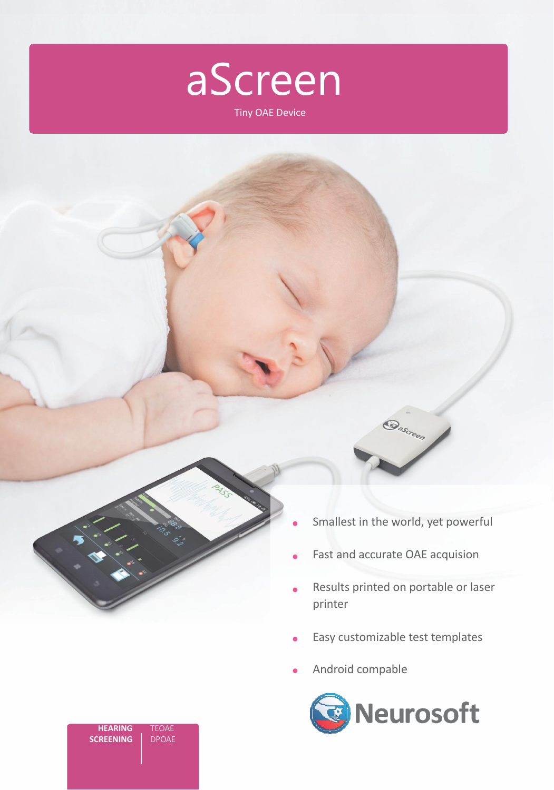

Tiny OAE Device

Smallest in the world, yet powerful

**Dascreen** 

- Fast and accurate OAE acquision
- Results printed on portable or laser printer
- Easy customizable test templates
- Android compable



| <b>HEARING</b>   | TEOAE        |
|------------------|--------------|
| <b>SCREENING</b> | <b>DPOAE</b> |
|                  |              |
|                  |              |
|                  |              |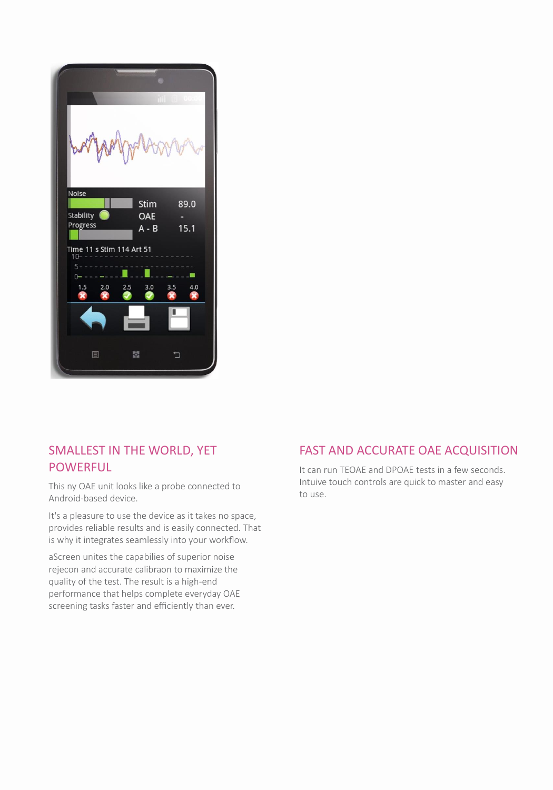

# SMALLEST IN THE WORLD, YET POWERFUL

This ny OAE unit looks like a probe connected to Android-based device.

It's a pleasure to use the device as it takes no space, provides reliable results and is easily connected. That is why it integrates seamlessly into your workflow.

aScreen unites the capabilies of superior noise rejecon and accurate calibraon to maximize the quality of the test. The result is a high-end performance that helps complete everyday OAE screening tasks faster and efficiently than ever.

#### FAST AND ACCURATE OAE ACQUISITION

It can run TEOAE and DPOAE tests in a few seconds. Intuive touch controls are quick to master and easy to use.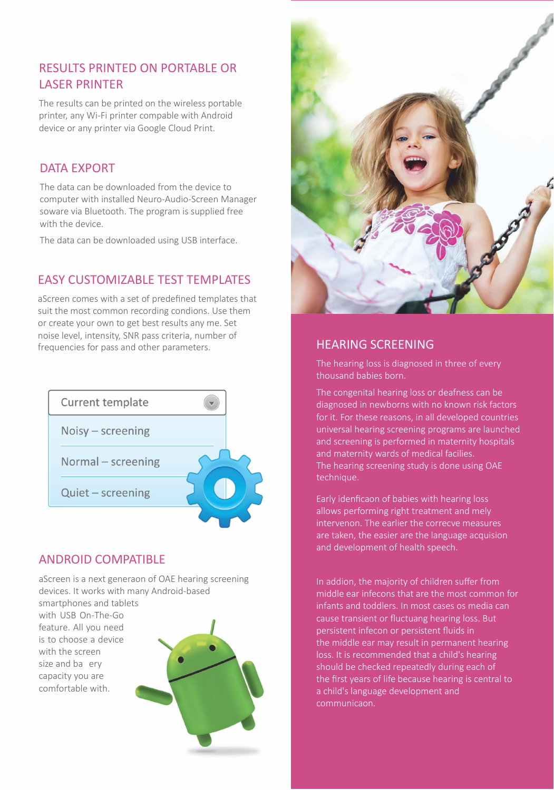# RESULTS PRINTED ON PORTABLE OR LASER PRINTER

The results can be printed on the wireless portable printer, any Wi-Fi printer compable with Android device or any printer via Google Cloud Print.

#### DATA EXPORT

The data can be downloaded from the device to computer with installed Neuro-Audio-Screen Manager soware via Bluetooth. The program is supplied free with the device.

The data can be downloaded using USB interface.

## EASY CUSTOMIZABLE TEST TEMPLATES

aScreen comes with a set of predefined templates that suit the most common recording condions. Use them or create your own to get best results any me. Set noise level, intensity, SNR pass criteria, number of frequencies for pass and other parameters.



### ANDROID COMPATIBLE

aScreen is a next generaon of OAE hearing screening devices. It works with many Android-based

smartphones and tablets with USB On-The-Go feature. All you need is to choose a device with the screen size and ba ery capacity you are comfortable with.





The hearing loss is diagnosed in three of every thousand babies born.

The congenital hearing loss or deafness can be diagnosed in newborns with no known risk factors for it. For these reasons, in all developed countries universal hearing screening programs are launched and screening is performed in maternity hospitals and maternity wards of medical facilies. The hearing screening study is done using OAE technique.

Early idenficaon of babies with hearing loss allows performing right treatment and mely intervenon. The earlier the correcve measures are taken, the easier are the language acquision and development of health speech.

In addion, the majority of children suffer from middle ear infecons that are the most common for infants and toddlers. In most cases os media can cause transient or fluctuang hearing loss. But persistent infecon or persistent fluids in the middle ear may result in permanent hearing loss. It is recommended that a child's hearing should be checked repeatedly during each of the first years of life because hearing is central to a child's language development and communicaon.